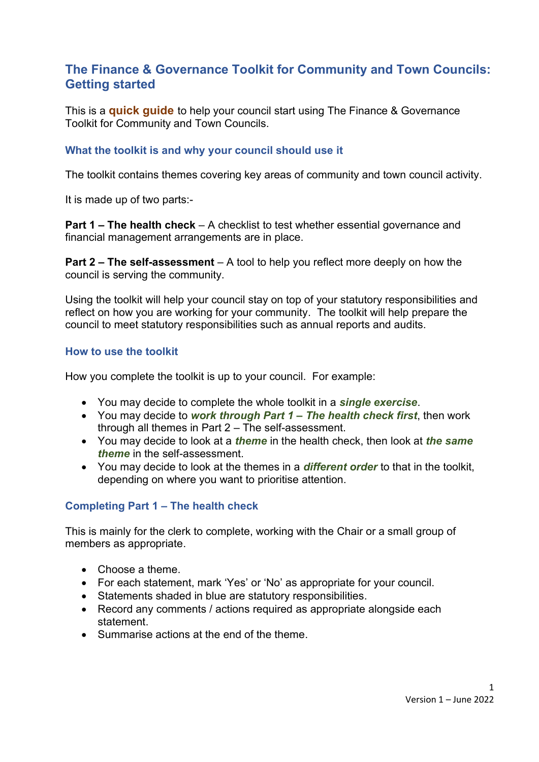# **The Finance & Governance Toolkit for Community and Town Councils: Getting started**

This is a **quick guide** to help your council start using The Finance & Governance Toolkit for Community and Town Councils.

#### **What the toolkit is and why your council should use it**

The toolkit contains themes covering key areas of community and town council activity.

It is made up of two parts:-

**Part 1 – The health check** – A checklist to test whether essential governance and financial management arrangements are in place.

**Part 2 – The self-assessment** – A tool to help you reflect more deeply on how the council is serving the community.

Using the toolkit will help your council stay on top of your statutory responsibilities and reflect on how you are working for your community. The toolkit will help prepare the council to meet statutory responsibilities such as annual reports and audits.

#### **How to use the toolkit**

How you complete the toolkit is up to your council. For example:

- You may decide to complete the whole toolkit in a *single exercise*.
- You may decide to *work through Part 1 – The health check first*, then work through all themes in Part 2 – The self-assessment.
- You may decide to look at a *theme* in the health check, then look at *the same theme* in the self-assessment.
- You may decide to look at the themes in a *different order* to that in the toolkit, depending on where you want to prioritise attention.

#### **Completing Part 1 – The health check**

This is mainly for the clerk to complete, working with the Chair or a small group of members as appropriate.

- Choose a theme.
- For each statement, mark 'Yes' or 'No' as appropriate for your council.
- Statements shaded in blue are statutory responsibilities.
- Record any comments / actions required as appropriate alongside each statement.
- Summarise actions at the end of the theme.